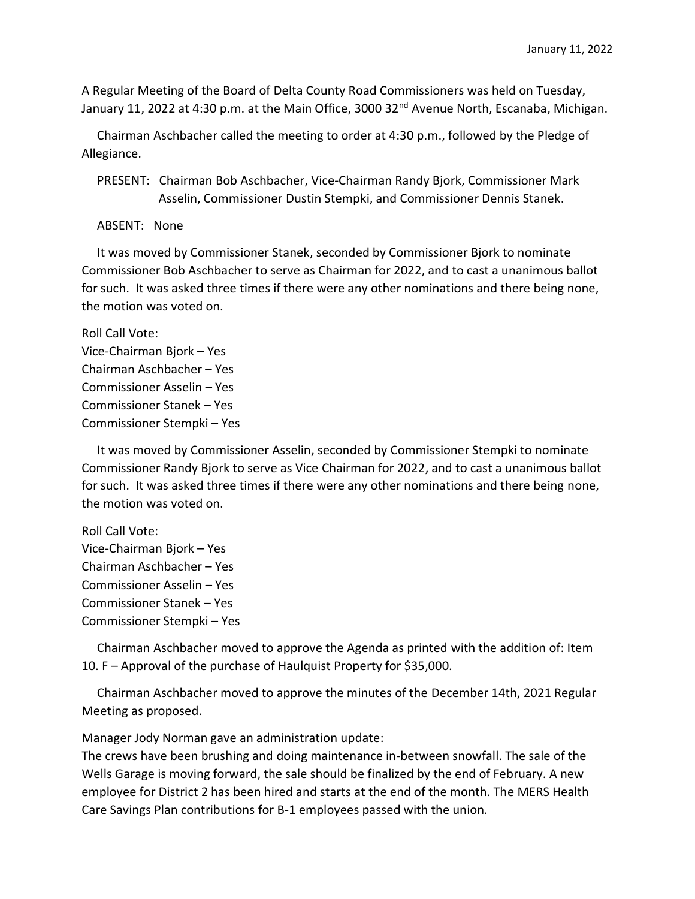A Regular Meeting of the Board of Delta County Road Commissioners was held on Tuesday, January 11, 2022 at 4:30 p.m. at the Main Office, 3000 32<sup>nd</sup> Avenue North, Escanaba, Michigan.

 Chairman Aschbacher called the meeting to order at 4:30 p.m., followed by the Pledge of Allegiance.

 PRESENT: Chairman Bob Aschbacher, Vice-Chairman Randy Bjork, Commissioner Mark Asselin, Commissioner Dustin Stempki, and Commissioner Dennis Stanek.

ABSENT: None

 It was moved by Commissioner Stanek, seconded by Commissioner Bjork to nominate Commissioner Bob Aschbacher to serve as Chairman for 2022, and to cast a unanimous ballot for such. It was asked three times if there were any other nominations and there being none, the motion was voted on.

Roll Call Vote: Vice-Chairman Bjork – Yes Chairman Aschbacher – Yes Commissioner Asselin – Yes Commissioner Stanek – Yes Commissioner Stempki – Yes

 It was moved by Commissioner Asselin, seconded by Commissioner Stempki to nominate Commissioner Randy Bjork to serve as Vice Chairman for 2022, and to cast a unanimous ballot for such. It was asked three times if there were any other nominations and there being none, the motion was voted on.

Roll Call Vote: Vice-Chairman Bjork – Yes Chairman Aschbacher – Yes Commissioner Asselin – Yes Commissioner Stanek – Yes Commissioner Stempki – Yes

 Chairman Aschbacher moved to approve the Agenda as printed with the addition of: Item 10. F – Approval of the purchase of Haulquist Property for \$35,000.

 Chairman Aschbacher moved to approve the minutes of the December 14th, 2021 Regular Meeting as proposed.

Manager Jody Norman gave an administration update:

The crews have been brushing and doing maintenance in-between snowfall. The sale of the Wells Garage is moving forward, the sale should be finalized by the end of February. A new employee for District 2 has been hired and starts at the end of the month. The MERS Health Care Savings Plan contributions for B-1 employees passed with the union.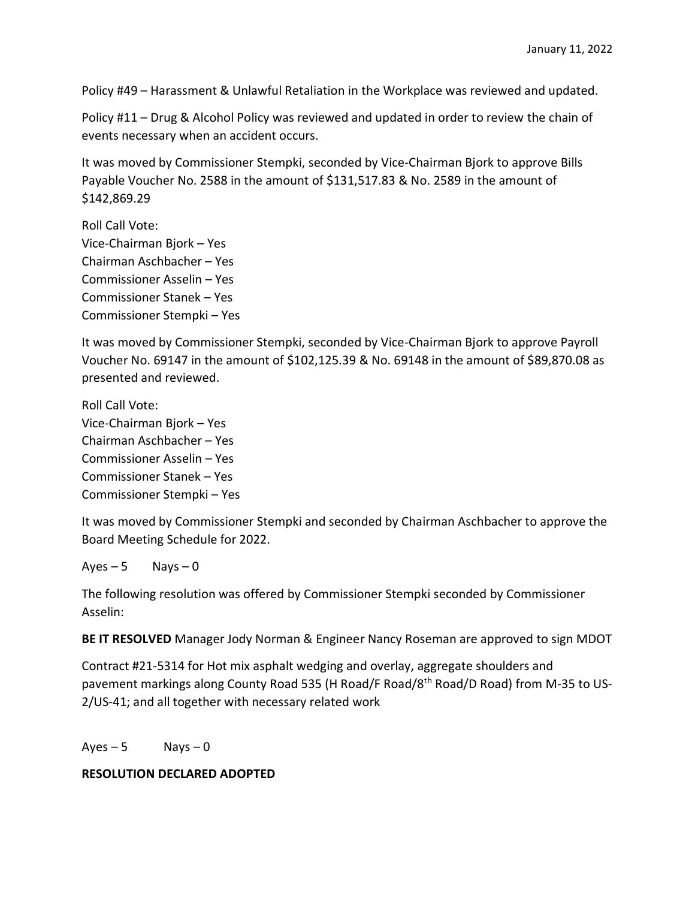Policy #49 – Harassment & Unlawful Retaliation in the Workplace was reviewed and updated.

Policy #11 – Drug & Alcohol Policy was reviewed and updated in order to review the chain of events necessary when an accident occurs.

It was moved by Commissioner Stempki, seconded by Vice-Chairman Bjork to approve Bills Payable Voucher No. 2588 in the amount of \$131,517.83 & No. 2589 in the amount of \$142,869.29

Roll Call Vote: Vice-Chairman Bjork – Yes Chairman Aschbacher – Yes Commissioner Asselin – Yes Commissioner Stanek – Yes Commissioner Stempki – Yes

It was moved by Commissioner Stempki, seconded by Vice-Chairman Bjork to approve Payroll Voucher No. 69147 in the amount of \$102,125.39 & No. 69148 in the amount of \$89,870.08 as presented and reviewed.

Roll Call Vote: Vice-Chairman Bjork – Yes Chairman Aschbacher – Yes Commissioner Asselin – Yes Commissioner Stanek – Yes Commissioner Stempki – Yes

It was moved by Commissioner Stempki and seconded by Chairman Aschbacher to approve the Board Meeting Schedule for 2022.

 $Ayes - 5$  Nays  $-0$ 

The following resolution was offered by Commissioner Stempki seconded by Commissioner Asselin:

**BE IT RESOLVED** Manager Jody Norman & Engineer Nancy Roseman are approved to sign MDOT

Contract #21-5314 for Hot mix asphalt wedging and overlay, aggregate shoulders and pavement markings along County Road 535 (H Road/F Road/8th Road/D Road) from M-35 to US-2/US-41; and all together with necessary related work

 $Aves - 5$  Nays  $-0$ 

## **RESOLUTION DECLARED ADOPTED**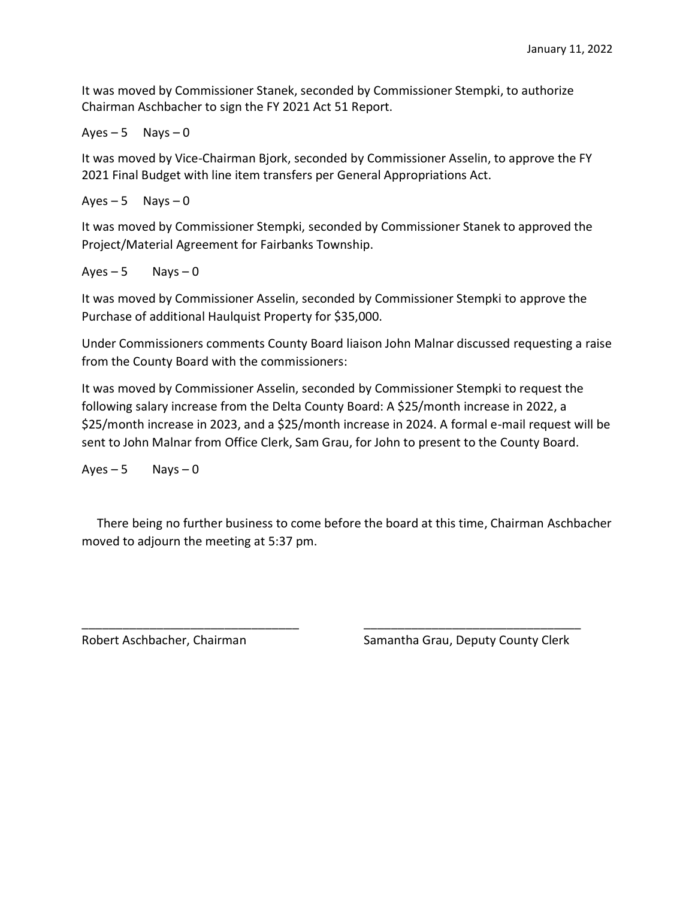It was moved by Commissioner Stanek, seconded by Commissioner Stempki, to authorize Chairman Aschbacher to sign the FY 2021 Act 51 Report.

 $Ayes - 5$  Nays  $-0$ 

It was moved by Vice-Chairman Bjork, seconded by Commissioner Asselin, to approve the FY 2021 Final Budget with line item transfers per General Appropriations Act.

 $Ayes - 5$  Nays  $-0$ 

It was moved by Commissioner Stempki, seconded by Commissioner Stanek to approved the Project/Material Agreement for Fairbanks Township.

 $Aves - 5$  Nays  $-0$ 

It was moved by Commissioner Asselin, seconded by Commissioner Stempki to approve the Purchase of additional Haulquist Property for \$35,000.

Under Commissioners comments County Board liaison John Malnar discussed requesting a raise from the County Board with the commissioners:

It was moved by Commissioner Asselin, seconded by Commissioner Stempki to request the following salary increase from the Delta County Board: A \$25/month increase in 2022, a \$25/month increase in 2023, and a \$25/month increase in 2024. A formal e-mail request will be sent to John Malnar from Office Clerk, Sam Grau, for John to present to the County Board.

 $Ayes - 5$  Nays  $-0$ 

 There being no further business to come before the board at this time, Chairman Aschbacher moved to adjourn the meeting at 5:37 pm.

\_\_\_\_\_\_\_\_\_\_\_\_\_\_\_\_\_\_\_\_\_\_\_\_\_\_\_\_\_\_\_\_ \_\_\_\_\_\_\_\_\_\_\_\_\_\_\_\_\_\_\_\_\_\_\_\_\_\_\_\_\_\_\_\_

Robert Aschbacher, Chairman Samantha Grau, Deputy County Clerk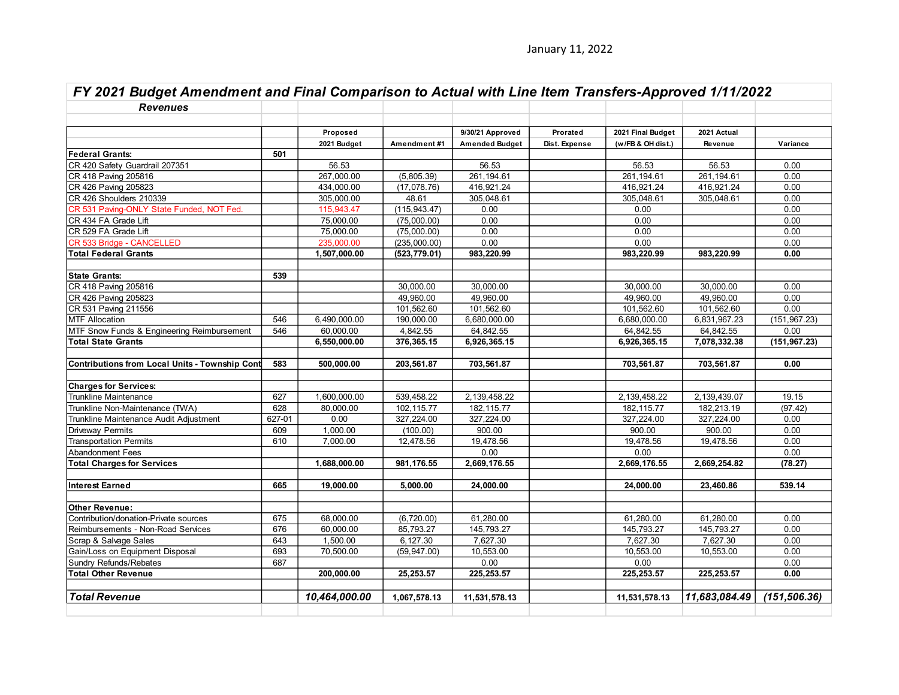| FY 2021 Budget Amendment and Final Comparison to Actual with Line Item Transfers-Approved 1/11/2022 |        |               |               |                  |               |                   |               |               |  |
|-----------------------------------------------------------------------------------------------------|--------|---------------|---------------|------------------|---------------|-------------------|---------------|---------------|--|
| <b>Revenues</b>                                                                                     |        |               |               |                  |               |                   |               |               |  |
|                                                                                                     |        |               |               |                  |               |                   |               |               |  |
|                                                                                                     |        | Proposed      |               | 9/30/21 Approved | Prorated      | 2021 Final Budget | 2021 Actual   |               |  |
|                                                                                                     |        | 2021 Budget   | Amendment#1   | Amended Budget   | Dist. Expense | (w/FB & OH dist.) | Revenue       | Variance      |  |
| <b>Federal Grants:</b>                                                                              | 501    |               |               |                  |               |                   |               |               |  |
| CR 420 Safety Guardrail 207351                                                                      |        | 56.53         |               | 56.53            |               | 56.53             | 56.53         | 0.00          |  |
| CR 418 Paving 205816                                                                                |        | 267,000.00    | (5,805.39)    | 261, 194. 61     |               | 261, 194.61       | 261, 194.61   | 0.00          |  |
| CR 426 Paving 205823                                                                                |        | 434,000.00    | (17,078.76)   | 416,921.24       |               | 416,921.24        | 416,921.24    | 0.00          |  |
| CR 426 Shoulders 210339                                                                             |        | 305,000.00    | 48.61         | 305,048.61       |               | 305,048.61        | 305,048.61    | 0.00          |  |
| CR 531 Paving-ONLY State Funded, NOT Fed.                                                           |        | 115,943.47    | (115, 943.47) | 0.00             |               | 0.00              |               | 0.00          |  |
| CR 434 FA Grade Lift                                                                                |        | 75,000.00     | (75,000.00)   | 0.00             |               | 0.00              |               | 0.00          |  |
| CR 529 FA Grade Lift                                                                                |        | 75,000.00     | (75,000.00)   | 0.00             |               | 0.00              |               | 0.00          |  |
| CR 533 Bridge - CANCELLED                                                                           |        | 235,000.00    | (235,000.00)  | 0.00             |               | 0.00              |               | 0.00          |  |
| <b>Total Federal Grants</b>                                                                         |        | 1,507,000.00  | (523, 779.01) | 983,220.99       |               | 983,220.99        | 983,220.99    | 0.00          |  |
| <b>State Grants:</b>                                                                                | 539    |               |               |                  |               |                   |               |               |  |
| CR 418 Paving 205816                                                                                |        |               | 30,000.00     | 30.000.00        |               | 30,000.00         | 30.000.00     | 0.00          |  |
| CR 426 Paving 205823                                                                                |        |               | 49,960.00     | 49,960.00        |               | 49,960.00         | 49,960.00     | 0.00          |  |
| CR 531 Paving 211556                                                                                |        |               | 101,562.60    | 101,562.60       |               | 101,562.60        | 101,562.60    | 0.00          |  |
| <b>MTF Allocation</b>                                                                               | 546    | 6,490,000.00  | 190,000.00    | 6,680,000.00     |               | 6,680,000.00      | 6,831,967.23  | (151, 967.23) |  |
| MTF Snow Funds & Engineering Reimbursement                                                          | 546    | 60,000.00     | 4,842.55      | 64,842.55        |               | 64,842.55         | 64,842.55     | 0.00          |  |
| <b>Total State Grants</b>                                                                           |        | 6,550,000.00  | 376,365.15    | 6,926,365.15     |               | 6,926,365.15      | 7,078,332.38  | (151, 967.23) |  |
| Contributions from Local Units - Township Cont                                                      | 583    | 500,000.00    | 203,561.87    | 703,561.87       |               | 703,561.87        | 703,561.87    | 0.00          |  |
| <b>Charges for Services:</b>                                                                        |        |               |               |                  |               |                   |               |               |  |
| <b>Trunkline Maintenance</b>                                                                        | 627    | 1,600,000.00  | 539,458.22    | 2,139,458.22     |               | 2,139,458.22      | 2,139,439.07  | 19.15         |  |
| Trunkline Non-Maintenance (TWA)                                                                     | 628    | 80,000.00     | 102,115.77    | 182, 115.77      |               | 182, 115.77       | 182,213.19    | (97.42)       |  |
| Trunkline Maintenance Audit Adjustment                                                              | 627-01 | 0.00          | 327,224.00    | 327,224.00       |               | 327,224.00        | 327,224.00    | 0.00          |  |
| <b>Driveway Permits</b>                                                                             | 609    | 1,000.00      | (100.00)      | 900.00           |               | 900.00            | 900.00        | 0.00          |  |
| <b>Transportation Permits</b>                                                                       | 610    | 7,000.00      | 12,478.56     | 19,478.56        |               | 19,478.56         | 19,478.56     | 0.00          |  |
| <b>Abandonment Fees</b>                                                                             |        |               |               | 0.00             |               | 0.00              |               | 0.00          |  |
| <b>Total Charges for Services</b>                                                                   |        | 1,688,000.00  | 981,176.55    | 2,669,176.55     |               | 2,669,176.55      | 2,669,254.82  | (78.27)       |  |
| <b>Interest Earned</b>                                                                              | 665    | 19,000.00     | 5,000.00      | 24,000.00        |               | 24,000.00         | 23,460.86     | 539.14        |  |
| <b>Other Revenue:</b>                                                                               |        |               |               |                  |               |                   |               |               |  |
| Contribution/donation-Private sources                                                               | 675    | 68,000.00     | (6,720.00)    | 61,280.00        |               | 61,280.00         | 61,280.00     | 0.00          |  |
| Reimbursements - Non-Road Services                                                                  | 676    | 60,000.00     | 85,793.27     | 145,793.27       |               | 145,793.27        | 145,793.27    | 0.00          |  |
| Scrap & Salvage Sales                                                                               | 643    | 1,500.00      | 6,127.30      | 7,627.30         |               | 7,627.30          | 7,627.30      | 0.00          |  |
| Gain/Loss on Equipment Disposal                                                                     | 693    | 70,500.00     | (59, 947.00)  | 10,553.00        |               | 10,553.00         | 10,553.00     | 0.00          |  |
| Sundry Refunds/Rebates                                                                              | 687    |               |               | 0.00             |               | 0.00              |               | 0.00          |  |
| <b>Total Other Revenue</b>                                                                          |        | 200,000.00    | 25,253.57     | 225, 253.57      |               | 225, 253.57       | 225, 253.57   | 0.00          |  |
| <b>Total Revenue</b>                                                                                |        | 10,464,000.00 | 1,067,578.13  | 11,531,578.13    |               | 11,531,578.13     | 11,683,084.49 | (151, 506.36) |  |
|                                                                                                     |        |               |               |                  |               |                   |               |               |  |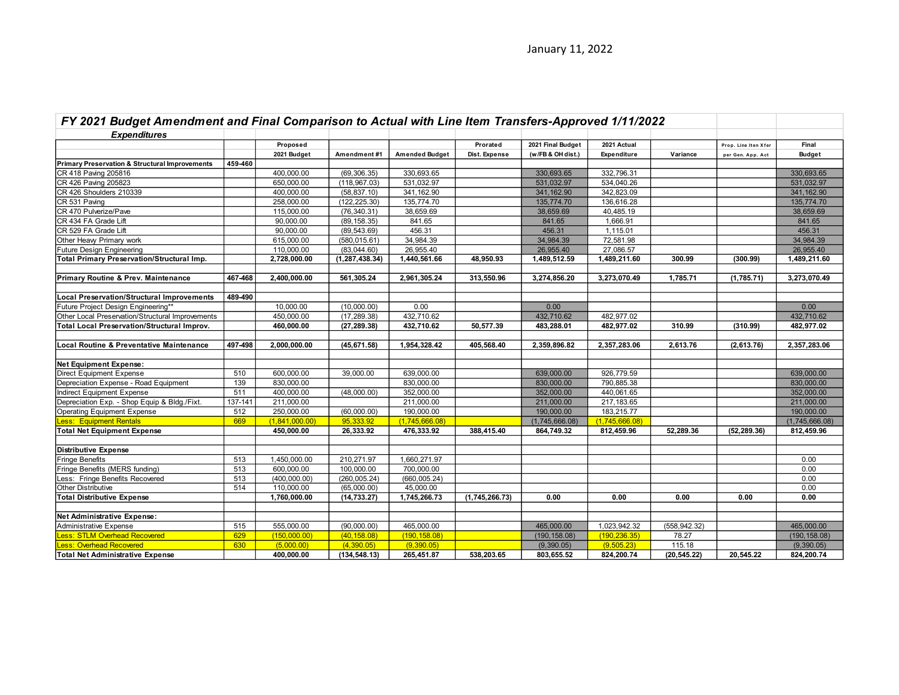| FY 2021 Budget Amendment and Final Comparison to Actual with Line Item Transfers-Approved 1/11/2022 |         |                          |                  |                       |                |                   |                |                        |                      |                |
|-----------------------------------------------------------------------------------------------------|---------|--------------------------|------------------|-----------------------|----------------|-------------------|----------------|------------------------|----------------------|----------------|
| <b>Expenditures</b>                                                                                 |         |                          |                  |                       |                |                   |                |                        |                      |                |
|                                                                                                     |         | Proposed                 |                  |                       | Prorated       | 2021 Final Budget | 2021 Actual    |                        | Prop. Line Iten Xfer | Final          |
|                                                                                                     |         | 2021 Budget              | Amendment#1      | <b>Amended Budget</b> | Dist. Expense  | (w/FB & OH dist.) | Expenditure    | Variance               | per Gen. App. Act    | <b>Budget</b>  |
| Primary Preservation & Structural Improvements                                                      | 459-460 |                          |                  |                       |                |                   |                |                        |                      |                |
| CR 418 Paving 205816                                                                                |         | 400,000.00               | (69, 306.35)     | 330,693.65            |                | 330,693.65        | 332,796.31     |                        |                      | 330,693.65     |
| CR 426 Paving 205823                                                                                |         | 650,000.00               | (118, 967.03)    | 531,032.97            |                | 531,032.97        | 534,040.26     |                        |                      | 531,032.97     |
| CR 426 Shoulders 210339                                                                             |         | 400,000.00               | (58, 837.10)     | 341, 162.90           |                | 341, 162.90       | 342,823.09     |                        |                      | 341, 162.90    |
| CR 531 Paving                                                                                       |         | 258,000.00               | (122, 225.30)    | 135,774.70            |                | 135,774.70        | 136,616.28     |                        |                      | 135,774.70     |
| CR 470 Pulverize/Pave                                                                               |         | 115,000.00               | (76, 340.31)     | 38,659.69             |                | 38,659.69         | 40,485.19      |                        |                      | 38,659.69      |
| CR 434 FA Grade Lift                                                                                |         | 90,000.00                | (89, 158.35)     | 841.65                |                | 841.65            | 1,666.91       |                        |                      | 841.65         |
| CR 529 FA Grade Lift                                                                                |         | 90,000.00                | (89, 543.69)     | 456.31                |                | 456.31            | 1,115.01       |                        |                      | 456.31         |
| Other Heavy Primary work                                                                            |         | 615,000.00               | (580, 015.61)    | 34,984.39             |                | 34,984.39         | 72,581.98      |                        |                      | 34,984.39      |
| Future Design Engineering                                                                           |         | 110,000.00               | (83,044.60)      | 26,955.40             |                | 26,955.40         | 27,086.57      |                        |                      | 26,955.40      |
| <b>Total Primary Preservation/Structural Imp.</b>                                                   |         | 2,728,000.00             | (1, 287, 438.34) | 1,440,561.66          | 48,950.93      | 1,489,512.59      | 1,489,211.60   | 300.99                 | (300.99)             | 1,489,211.60   |
| Primary Routine & Prev. Maintenance                                                                 | 467-468 | 2,400,000.00             | 561,305.24       | 2,961,305.24          | 313,550.96     | 3,274,856.20      | 3,273,070.49   | 1,785.71               | (1,785.71)           | 3,273,070.49   |
|                                                                                                     |         |                          |                  |                       |                |                   |                |                        |                      |                |
| <b>Local Preservation/Structural Improvements</b>                                                   | 489-490 |                          |                  |                       |                |                   |                |                        |                      |                |
| Future Project Design Engineering**                                                                 |         | 10,000.00                | (10,000.00)      | 0.00                  |                | 0.00              |                |                        |                      | 0.00           |
| Other Local Preservation/Structural Improvements                                                    |         | 450,000.00               | (17, 289.38)     | 432,710.62            |                | 432,710.62        | 482,977.02     |                        |                      | 432,710.62     |
| <b>Total Local Preservation/Structural Improv.</b>                                                  |         | 460,000.00               | (27, 289.38)     | 432,710.62            | 50,577.39      | 483,288.01        | 482,977.02     | 310.99                 | (310.99)             | 482,977.02     |
| Local Routine & Preventative Maintenance                                                            | 497-498 | 2,000,000.00             | (45, 671.58)     | 1,954,328.42          | 405,568.40     | 2,359,896.82      | 2,357,283.06   | 2,613.76               | (2,613.76)           | 2,357,283.06   |
| <b>Net Equipment Expense:</b>                                                                       |         |                          |                  |                       |                |                   |                |                        |                      |                |
| <b>Direct Equipment Expense</b>                                                                     | 510     | 600,000.00               | 39,000.00        | 639,000.00            |                | 639,000.00        | 926,779.59     |                        |                      | 639,000.00     |
| Depreciation Expense - Road Equipment                                                               | 139     | 830,000.00               |                  | 830,000.00            |                | 830,000.00        | 790,885.38     |                        |                      | 830,000.00     |
| Indirect Equipment Expense                                                                          | 511     | 400,000.00               | (48,000.00)      | 352,000.00            |                | 352,000.00        | 440,061.65     |                        |                      | 352,000.00     |
| Depreciation Exp. - Shop Equip & Bldg./Fixt.                                                        | 137-141 | 211,000.00               |                  | 211,000.00            |                | 211,000.00        | 217, 183.65    |                        |                      | 211,000.00     |
| <b>Operating Equipment Expense</b>                                                                  | 512     | 250,000.00               | (60,000.00)      | 190,000.00            |                | 190,000.00        | 183,215.77     |                        |                      | 190,000.00     |
| <b>Less: Equipment Rentals</b>                                                                      | 669     | (1,841,000.00)           | 95,333.92        | (1,745,666.08)        |                | (1,745,666.08)    | (1,745,666.08) |                        |                      | (1,745,666.08) |
| <b>Total Net Equipment Expense</b>                                                                  |         | 450,000.00               | 26,333.92        | 476,333.92            | 388,415.40     | 864,749.32        | 812,459.96     | 52,289.36              | (52, 289.36)         | 812,459.96     |
| <b>Distributive Expense</b>                                                                         |         |                          |                  |                       |                |                   |                |                        |                      |                |
| Fringe Benefits                                                                                     | 513     | 1,450,000.00             | 210,271.97       | 1,660,271.97          |                |                   |                |                        |                      | 0.00           |
| Fringe Benefits (MERS funding)                                                                      | 513     | 600,000.00               | 100,000.00       | 700,000.00            |                |                   |                |                        |                      | 0.00           |
| Less: Fringe Benefits Recovered                                                                     | 513     | (400,000.00)             | (260, 005.24)    | (660, 005.24)         |                |                   |                |                        |                      | 0.00           |
| <b>Other Distributive</b>                                                                           | 514     | 110,000.00               | (65,000.00)      | 45.000.00             |                |                   |                |                        |                      | 0.00           |
| <b>Total Distributive Expense</b>                                                                   |         | 1,760,000.00             | (14, 733.27)     | 1,745,266.73          | (1,745,266.73) | 0.00              | 0.00           | 0.00                   | 0.00                 | 0.00           |
|                                                                                                     |         |                          |                  |                       |                |                   |                |                        |                      |                |
| Net Administrative Expense:                                                                         | 515     | 555,000.00               |                  | 465,000.00            |                |                   |                |                        |                      |                |
| Administrative Expense                                                                              |         |                          | (90,000.00)      |                       |                | 465,000.00        | 1,023,942.32   | (558, 942.32)<br>78.27 |                      | 465,000.00     |
| <b>Less: STLM Overhead Recovered</b>                                                                | 629     | (150,000.00)             | (40, 158.08)     | (190, 158.08)         |                | (190, 158.08)     | (190, 236.35)  |                        |                      | (190, 158.08)  |
| <b>Less: Overhead Recovered</b>                                                                     | 630     | (5.000.00)<br>400,000.00 | (4.390.05)       | (9.390.05)            |                | (9,390.05)        | (9.505.23)     | 115.18                 |                      | (9,390.05)     |
| <b>Total Net Administrative Expense</b>                                                             |         |                          | (134, 548.13)    | 265,451.87            | 538,203.65     | 803,655.52        | 824,200.74     | (20, 545.22)           | 20,545.22            | 824,200.74     |